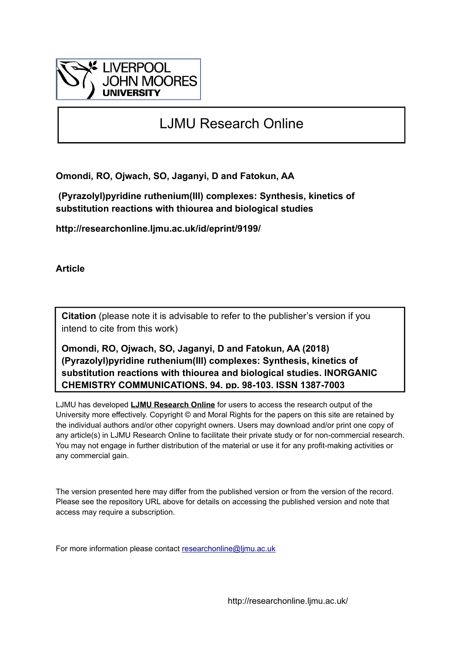

# LJMU Research Online

**Omondi, RO, Ojwach, SO, Jaganyi, D and Fatokun, AA**

 **(Pyrazolyl)pyridine ruthenium(III) complexes: Synthesis, kinetics of substitution reactions with thiourea and biological studies**

**http://researchonline.ljmu.ac.uk/id/eprint/9199/**

**Article**

**Citation** (please note it is advisable to refer to the publisher's version if you intend to cite from this work)

**Omondi, RO, Ojwach, SO, Jaganyi, D and Fatokun, AA (2018) (Pyrazolyl)pyridine ruthenium(III) complexes: Synthesis, kinetics of substitution reactions with thiourea and biological studies. INORGANIC CHEMISTRY COMMUNICATIONS, 94. pp. 98-103. ISSN 1387-7003** 

LJMU has developed **[LJMU Research Online](http://researchonline.ljmu.ac.uk/)** for users to access the research output of the University more effectively. Copyright © and Moral Rights for the papers on this site are retained by the individual authors and/or other copyright owners. Users may download and/or print one copy of any article(s) in LJMU Research Online to facilitate their private study or for non-commercial research. You may not engage in further distribution of the material or use it for any profit-making activities or any commercial gain.

The version presented here may differ from the published version or from the version of the record. Please see the repository URL above for details on accessing the published version and note that access may require a subscription.

For more information please contact [researchonline@ljmu.ac.uk](mailto:researchonline@ljmu.ac.uk)

http://researchonline.ljmu.ac.uk/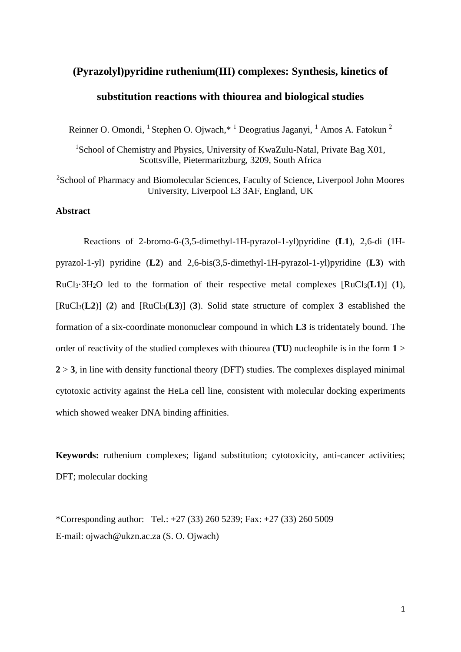# **(Pyrazolyl)pyridine ruthenium(III) complexes: Synthesis, kinetics of substitution reactions with thiourea and biological studies**

Reinner O. Omondi, <sup>1</sup> Stephen O. Ojwach,\* <sup>1</sup> Deogratius Jaganyi, <sup>1</sup> Amos A. Fatokun <sup>2</sup>

<sup>1</sup>School of Chemistry and Physics, University of KwaZulu-Natal, Private Bag X01, Scottsville, Pietermaritzburg, 3209, South Africa

<sup>2</sup>School of Pharmacy and Biomolecular Sciences, Faculty of Science, Liverpool John Moores University, Liverpool L3 3AF, England, UK

## **Abstract**

Reactions of 2-bromo-6-(3,5-dimethyl-1H-pyrazol-1-yl)pyridine (**L1**), 2,6-di (1Hpyrazol-1-yl) pyridine (**L2**) and 2,6-bis(3,5-dimethyl-1H-pyrazol-1-yl)pyridine (**L3**) with  $RuCl_3·3H_2O$  led to the formation of their respective metal complexes  $[RuCl_3(L1)]$  (1),  $[RuCl_3(L2)]$  (2) and  $[RuCl_3(L3)]$  (3). Solid state structure of complex 3 established the formation of a six-coordinate mononuclear compound in which **L3** is tridentately bound. The order of reactivity of the studied complexes with thiourea (**TU**) nucleophile is in the form **1** >  $2 > 3$ , in line with density functional theory (DFT) studies. The complexes displayed minimal cytotoxic activity against the HeLa cell line, consistent with molecular docking experiments which showed weaker DNA binding affinities.

**Keywords:** ruthenium complexes: ligand substitution: cytotoxicity, anti-cancer activities: DFT; molecular docking

\*Corresponding author: Tel.: +27 (33) 260 5239; Fax: +27 (33) 260 5009 E-mail: ojwach@ukzn.ac.za (S. O. Ojwach)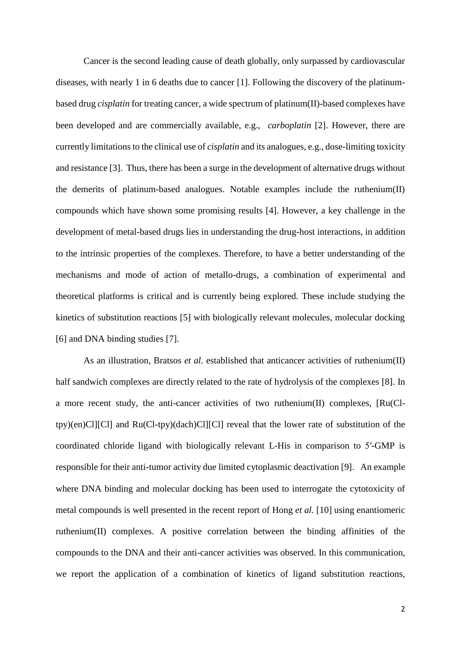Cancer is the second leading cause of death globally, only surpassed by cardiovascular diseases, with nearly 1 in 6 deaths due to cancer [1]. Following the discovery of the platinumbased drug *cisplatin* for treating cancer, a wide spectrum of platinum(II)-based complexes have been developed and are commercially available, e.g., *carboplatin* [2]. However, there are currently limitations to the clinical use of *cisplatin* and its analogues, e.g., dose-limiting toxicity and resistance [3]. Thus, there has been a surge in the development of alternative drugs without the demerits of platinum-based analogues. Notable examples include the ruthenium(II) compounds which have shown some promising results [4]. However, a key challenge in the development of metal-based drugs lies in understanding the drug-host interactions, in addition to the intrinsic properties of the complexes. Therefore, to have a better understanding of the mechanisms and mode of action of metallo-drugs, a combination of experimental and theoretical platforms is critical and is currently being explored. These include studying the kinetics of substitution reactions [5] with biologically relevant molecules, molecular docking [6] and DNA binding studies [7].

As an illustration, Bratsos *et al.* established that anticancer activities of ruthenium(II) half sandwich complexes are directly related to the rate of hydrolysis of the complexes [8]. In a more recent study, the anti-cancer activities of two ruthenium(II) complexes, [Ru(Cltpy)(en)Cl][Cl] and Ru(Cl-tpy)(dach)Cl][Cl] reveal that the lower rate of substitution of the coordinated chloride ligand with biologically relevant L-His in comparison to 5′-GMP is responsible for their anti-tumor activity due limited cytoplasmic deactivation [9]. An example where DNA binding and molecular docking has been used to interrogate the cytotoxicity of metal compounds is well presented in the recent report of Hong *et al.* [10] using enantiomeric ruthenium(II) complexes. A positive correlation between the binding affinities of the compounds to the DNA and their anti-cancer activities was observed. In this communication, we report the application of a combination of kinetics of ligand substitution reactions,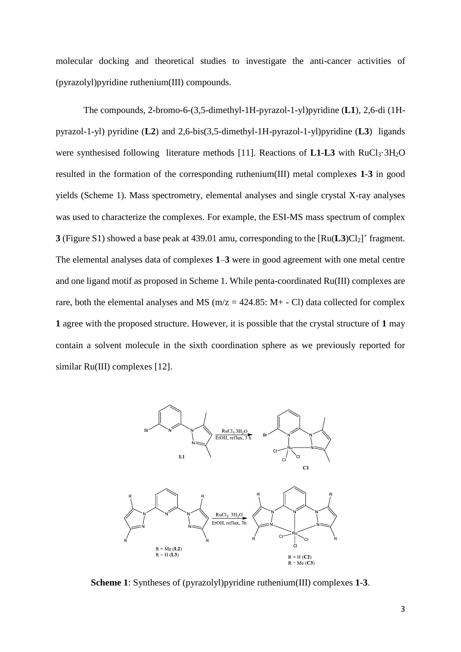molecular docking and theoretical studies to investigate the anti-cancer activities of (pyrazolyl)pyridine ruthenium(III) compounds.

The compounds, 2-bromo-6-(3,5-dimethyl-1H-pyrazol-1-yl)pyridine (**L1**), 2,6-di (1Hpyrazol-1-yl) pyridine (**L2**) and 2,6-bis(3,5-dimethyl-1H-pyrazol-1-yl)pyridine (**L3**) ligands were synthesised following literature methods  $[11]$ . Reactions of **L1-L3** with RuCl<sub>3</sub>·3H<sub>2</sub>O resulted in the formation of the corresponding ruthenium(III) metal complexes **1**-**3** in good yields (Scheme 1). Mass spectrometry, elemental analyses and single crystal X-ray analyses was used to characterize the complexes. For example, the ESI-MS mass spectrum of complex **3** (Figure S1) showed a base peak at 439.01 amu, corresponding to the  $\text{[Ru(L3)Cl}_2\text{]}^+$  fragment. The elemental analyses data of complexes **1**–**3** were in good agreement with one metal centre and one ligand motif as proposed in Scheme 1. While penta-coordinated Ru(III) complexes are rare, both the elemental analyses and MS ( $m/z = 424.85$ : M+ - Cl) data collected for complex **1** agree with the proposed structure. However, it is possible that the crystal structure of **1** may contain a solvent molecule in the sixth coordination sphere as we previously reported for similar Ru(III) complexes [12].



**Scheme 1**: Syntheses of (pyrazolyl)pyridine ruthenium(III) complexes **1**-**3**.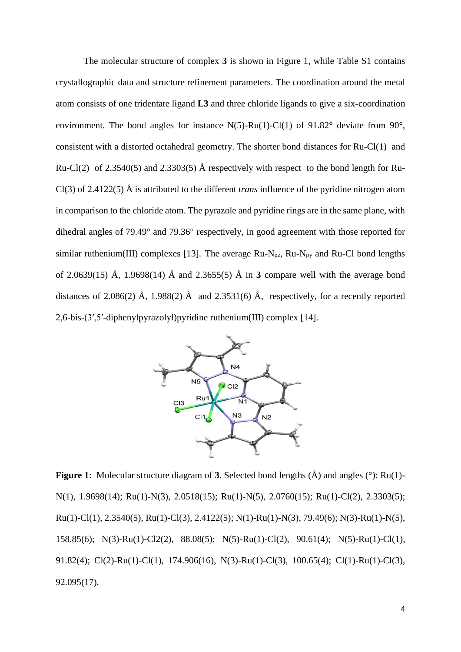The molecular structure of complex **3** is shown in Figure 1, while Table S1 contains crystallographic data and structure refinement parameters. The coordination around the metal atom consists of one tridentate ligand **L3** and three chloride ligands to give a six-coordination environment. The bond angles for instance  $N(5)$ -Ru(1)-Cl(1) of 91.82° deviate from 90°, consistent with a distorted octahedral geometry. The shorter bond distances for Ru-Cl(1) and Ru-Cl(2) of 2.3540(5) and 2.3303(5) Å respectively with respect to the bond length for Ru-Cl(3) of 2.4122(5) Å is attributed to the different *trans* influence of the pyridine nitrogen atom in comparison to the chloride atom. The pyrazole and pyridine rings are in the same plane, with dihedral angles of 79.49° and 79.36° respectively, in good agreement with those reported for similar ruthenium(III) complexes [13]. The average  $Ru-N_{pz}$ ,  $Ru-N_{py}$  and  $Ru-Cl$  bond lengths of 2.0639(15) Å, 1.9698(14) Å and 2.3655(5) Å in **3** compare well with the average bond distances of 2.086(2) Å, 1.988(2) Å and 2.3531(6) Å, respectively, for a recently reported 2,6-bis-(3′,5′-diphenylpyrazolyl)pyridine ruthenium(III) complex [14].



**Figure 1**: Molecular structure diagram of **3**. Selected bond lengths (Å) and angles (°): Ru(1)- N(1), 1.9698(14); Ru(1)-N(3), 2.0518(15); Ru(1)-N(5), 2.0760(15); Ru(1)-Cl(2), 2.3303(5); Ru(1)-Cl(1), 2.3540(5), Ru(1)-Cl(3), 2.4122(5); N(1)-Ru(1)-N(3), 79.49(6); N(3)-Ru(1)-N(5), 158.85(6); N(3)-Ru(1)-Cl2(2), 88.08(5); N(5)-Ru(1)-Cl(2), 90.61(4); N(5)-Ru(1)-Cl(1), 91.82(4); Cl(2)-Ru(1)-Cl(1), 174.906(16), N(3)-Ru(1)-Cl(3), 100.65(4); Cl(1)-Ru(1)-Cl(3), 92.095(17).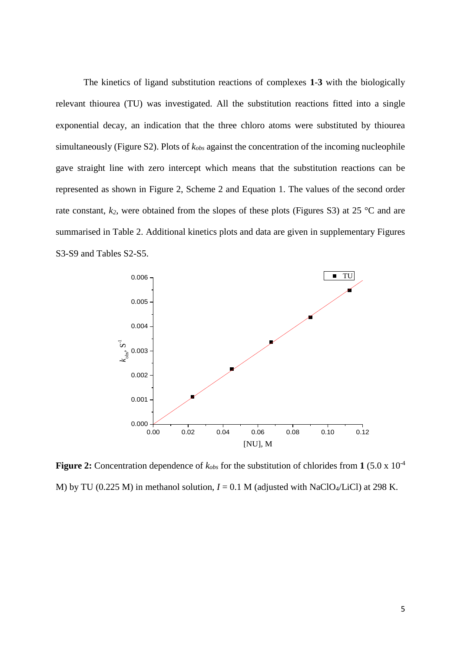The kinetics of ligand substitution reactions of complexes **1**-**3** with the biologically relevant thiourea (TU) was investigated. All the substitution reactions fitted into a single exponential decay, an indication that the three chloro atoms were substituted by thiourea simultaneously (Figure S2). Plots of *kobs* against the concentration of the incoming nucleophile gave straight line with zero intercept which means that the substitution reactions can be represented as shown in Figure 2, Scheme 2 and Equation 1. The values of the second order rate constant,  $k_2$ , were obtained from the slopes of these plots (Figures S3) at 25 °C and are summarised in Table 2. Additional kinetics plots and data are given in supplementary Figures S3-S9 and Tables S2-S5.



**Figure 2:** Concentration dependence of  $k_{obs}$  for the substitution of chlorides from 1 (5.0 x 10<sup>-4</sup>) M) by TU (0.225 M) in methanol solution,  $I = 0.1$  M (adjusted with NaClO<sub>4</sub>/LiCl) at 298 K.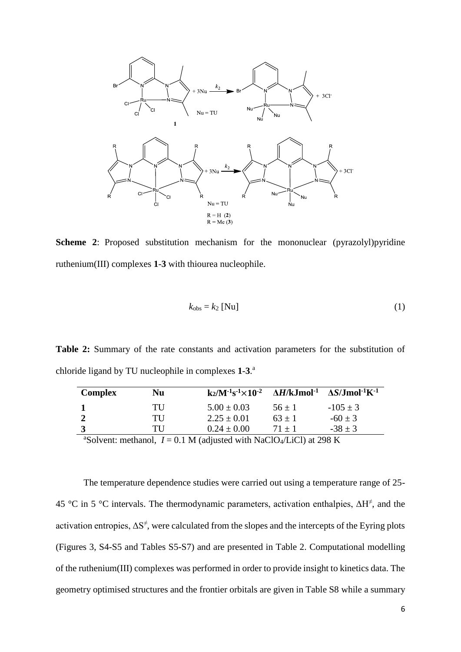

**Scheme 2:** Proposed substitution mechanism for the mononuclear (pyrazolyl)pyridine ruthenium(III) complexes **1**-**3** with thiourea nucleophile.

$$
k_{\text{obs}} = k_2 \text{ [Nu]} \tag{1}
$$

**Table 2:** Summary of the rate constants and activation parameters for the substitution of chloride ligand by TU nucleophile in complexes **1**-**3**. a

| <b>Complex</b>                                                                                | Nu | $k_2/M^{-1}s^{-1}\times 10^{-2}$ $\Delta H/kJ$ mol <sup>-1</sup> $\Delta S/J$ mol <sup>-1</sup> K <sup>-1</sup> |            |              |  |  |
|-----------------------------------------------------------------------------------------------|----|-----------------------------------------------------------------------------------------------------------------|------------|--------------|--|--|
|                                                                                               | TU | $5.00 \pm 0.03$                                                                                                 | $56 \pm 1$ | $-105 \pm 3$ |  |  |
|                                                                                               | TU | $2.25 \pm 0.01$                                                                                                 | $63 + 1$   | $-60 \pm 3$  |  |  |
|                                                                                               | TU | $0.24 \pm 0.00$                                                                                                 | $71 + 1$   | $-38 + 3$    |  |  |
| <sup>a</sup> Solvent: methanol, $I = 0.1$ M (adjusted with NaClO <sub>4</sub> /LiCl) at 298 K |    |                                                                                                                 |            |              |  |  |

The temperature dependence studies were carried out using a temperature range of 25- 45 °C in 5 °C intervals. The thermodynamic parameters, activation enthalpies,  $\Delta H^{\neq}$ , and the activation entropies,  $\Delta S^{\neq}$ , were calculated from the slopes and the intercepts of the Eyring plots (Figures 3, S4-S5 and Tables S5-S7) and are presented in Table 2. Computational modelling of the ruthenium(III) complexes was performed in order to provide insight to kinetics data. The geometry optimised structures and the frontier orbitals are given in Table S8 while a summary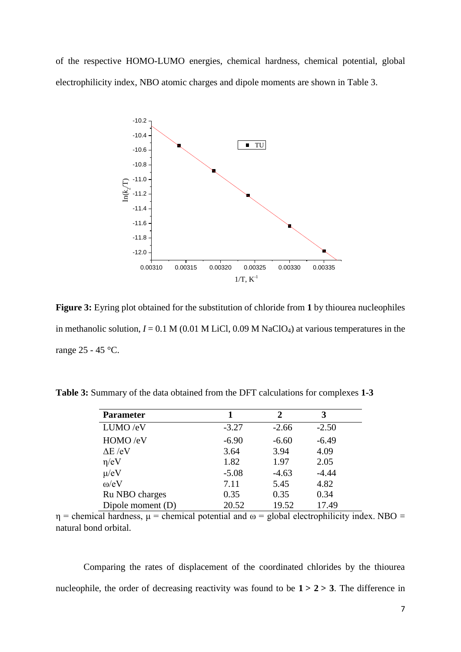of the respective HOMO-LUMO energies, chemical hardness, chemical potential, global electrophilicity index, NBO atomic charges and dipole moments are shown in Table 3.



**Figure 3:** Eyring plot obtained for the substitution of chloride from **1** by thiourea nucleophiles in methanolic solution,  $I = 0.1 M (0.01 M LiCl, 0.09 M NaClO<sub>4</sub>)$  at various temperatures in the range 25 - 45 °C.

**Table 3:** Summary of the data obtained from the DFT calculations for complexes **1-3**

| <b>Parameter</b>  |         | 2       | 3       |  |
|-------------------|---------|---------|---------|--|
| LUMO/eV           | $-3.27$ | $-2.66$ | $-2.50$ |  |
| HOMO /eV          | $-6.90$ | $-6.60$ | $-6.49$ |  |
| $\Delta E$ /eV    | 3.64    | 3.94    | 4.09    |  |
| $\eta$ /eV        | 1.82    | 1.97    | 2.05    |  |
| $\mu$ /eV         | $-5.08$ | $-4.63$ | $-4.44$ |  |
| $\omega$ /eV      | 7.11    | 5.45    | 4.82    |  |
| Ru NBO charges    | 0.35    | 0.35    | 0.34    |  |
| Dipole moment (D) | 20.52   | 19.52   | 17.49   |  |

 $η$  = chemical hardness,  $μ$  = chemical potential and ω = global electrophilicity index. NBO = natural bond orbital.

Comparing the rates of displacement of the coordinated chlorides by the thiourea nucleophile, the order of decreasing reactivity was found to be  $1 > 2 > 3$ . The difference in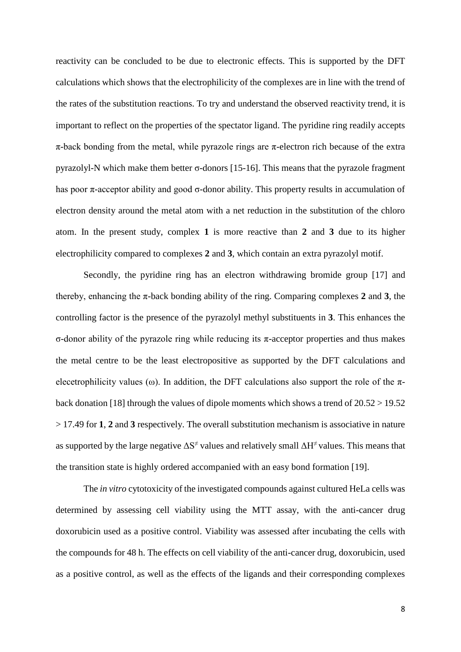reactivity can be concluded to be due to electronic effects. This is supported by the DFT calculations which shows that the electrophilicity of the complexes are in line with the trend of the rates of the substitution reactions. To try and understand the observed reactivity trend, it is important to reflect on the properties of the spectator ligand. The pyridine ring readily accepts  $\pi$ -back bonding from the metal, while pyrazole rings are  $\pi$ -electron rich because of the extra pyrazolyl-N which make them better σ-donors [15-16]. This means that the pyrazole fragment has poor π-acceptor ability and good σ-donor ability. This property results in accumulation of electron density around the metal atom with a net reduction in the substitution of the chloro atom. In the present study, complex **1** is more reactive than **2** and **3** due to its higher electrophilicity compared to complexes **2** and **3**, which contain an extra pyrazolyl motif.

Secondly, the pyridine ring has an electron withdrawing bromide group [17] and thereby, enhancing the π-back bonding ability of the ring. Comparing complexes **2** and **3**, the controlling factor is the presence of the pyrazolyl methyl substituents in **3**. This enhances the σ-donor ability of the pyrazole ring while reducing its π-acceptor properties and thus makes the metal centre to be the least electropositive as supported by the DFT calculations and elecetrophilicity values (ω). In addition, the DFT calculations also support the role of the  $\pi$ back donation [18] through the values of dipole moments which shows a trend of 20.52 > 19.52 > 17.49 for **1**, **2** and **3** respectively. The overall substitution mechanism is associative in nature as supported by the large negative  $\Delta S^{\neq}$  values and relatively small  $\Delta H^{\neq}$  values. This means that the transition state is highly ordered accompanied with an easy bond formation [19].

The *in vitro* cytotoxicity of the investigated compounds against cultured HeLa cells was determined by assessing cell viability using the MTT assay, with the anti-cancer drug doxorubicin used as a positive control. Viability was assessed after incubating the cells with the compounds for 48 h. The effects on cell viability of the anti-cancer drug, doxorubicin, used as a positive control, as well as the effects of the ligands and their corresponding complexes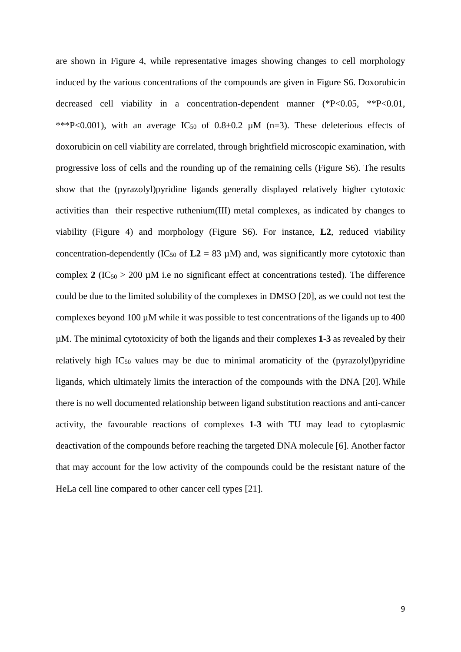are shown in Figure 4, while representative images showing changes to cell morphology induced by the various concentrations of the compounds are given in Figure S6. Doxorubicin decreased cell viability in a concentration-dependent manner (\*P<0.05, \*\*P<0.01, \*\*\*P<0.001), with an average IC<sub>50</sub> of  $0.8\pm0.2$   $\mu$ M (n=3). These deleterious effects of doxorubicin on cell viability are correlated, through brightfield microscopic examination, with progressive loss of cells and the rounding up of the remaining cells (Figure S6). The results show that the (pyrazolyl)pyridine ligands generally displayed relatively higher cytotoxic activities than their respective ruthenium(III) metal complexes, as indicated by changes to viability (Figure 4) and morphology (Figure S6). For instance, **L2**, reduced viability concentration-dependently (IC<sub>50</sub> of  $L2 = 83 \mu M$ ) and, was significantly more cytotoxic than complex  $2 (IC_{50} > 200 \mu M)$  i.e no significant effect at concentrations tested). The difference could be due to the limited solubility of the complexes in DMSO [20], as we could not test the complexes beyond 100  $\mu$ M while it was possible to test concentrations of the ligands up to 400 µM. The minimal cytotoxicity of both the ligands and their complexes **1**-**3** as revealed by their relatively high  $IC_{50}$  values may be due to minimal aromaticity of the (pyrazolyl)pyridine ligands, which ultimately limits the interaction of the compounds with the DNA [20]. While there is no well documented relationship between ligand substitution reactions and anti-cancer activity, the favourable reactions of complexes **1**-**3** with TU may lead to cytoplasmic deactivation of the compounds before reaching the targeted DNA molecule [6]. Another factor that may account for the low activity of the compounds could be the resistant nature of the HeLa cell line compared to other cancer cell types [21].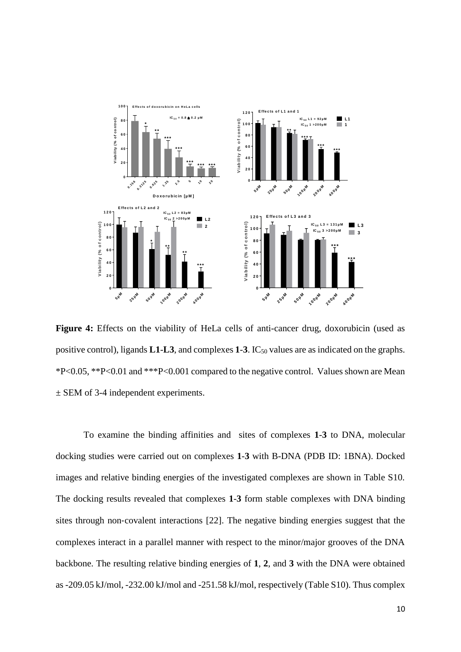

Figure 4: Effects on the viability of HeLa cells of anti-cancer drug, doxorubicin (used as positive control), ligands **L1**-**L3**, and complexes **1**-**3**. IC<sup>50</sup> values are as indicated on the graphs. \*P<0.05, \*\*P<0.01 and \*\*\*P<0.001 compared to the negative control. Values shown are Mean ± SEM of 3-4 independent experiments.

To examine the binding affinities and sites of complexes **1**-**3** to DNA, molecular docking studies were carried out on complexes **1**-**3** with B-DNA (PDB ID: 1BNA). Docked images and relative binding energies of the investigated complexes are shown in Table S10. The docking results revealed that complexes **1**-**3** form stable complexes with DNA binding sites through non‐covalent interactions [22]. The negative binding energies suggest that the complexes interact in a parallel manner with respect to the minor/major grooves of the DNA backbone. The resulting relative binding energies of **1**, **2**, and **3** with the DNA were obtained as -209.05 kJ/mol, -232.00 kJ/mol and -251.58 kJ/mol, respectively (Table S10). Thus complex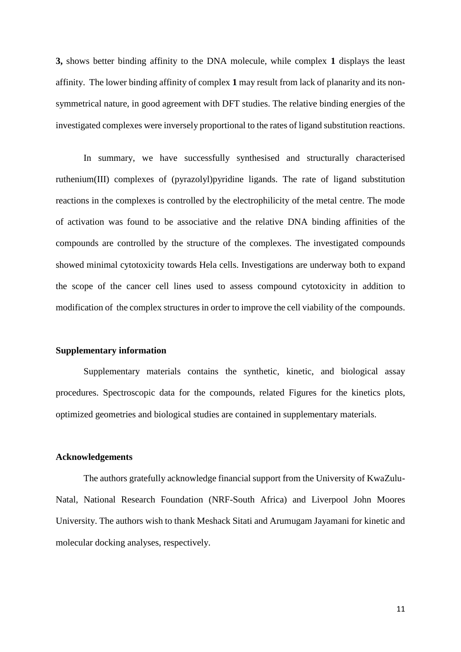**3,** shows better binding affinity to the DNA molecule, while complex **1** displays the least affinity. The lower binding affinity of complex **1** may result from lack of planarity and its nonsymmetrical nature, in good agreement with DFT studies. The relative binding energies of the investigated complexes were inversely proportional to the rates of ligand substitution reactions.

In summary, we have successfully synthesised and structurally characterised ruthenium(III) complexes of (pyrazolyl)pyridine ligands. The rate of ligand substitution reactions in the complexes is controlled by the electrophilicity of the metal centre. The mode of activation was found to be associative and the relative DNA binding affinities of the compounds are controlled by the structure of the complexes. The investigated compounds showed minimal cytotoxicity towards Hela cells. Investigations are underway both to expand the scope of the cancer cell lines used to assess compound cytotoxicity in addition to modification of the complex structures in order to improve the cell viability of the compounds.

#### **Supplementary information**

Supplementary materials contains the synthetic, kinetic, and biological assay procedures. Spectroscopic data for the compounds, related Figures for the kinetics plots, optimized geometries and biological studies are contained in supplementary materials.

### **Acknowledgements**

The authors gratefully acknowledge financial support from the University of KwaZulu-Natal, National Research Foundation (NRF-South Africa) and Liverpool John Moores University. The authors wish to thank Meshack Sitati and Arumugam Jayamani for kinetic and molecular docking analyses, respectively.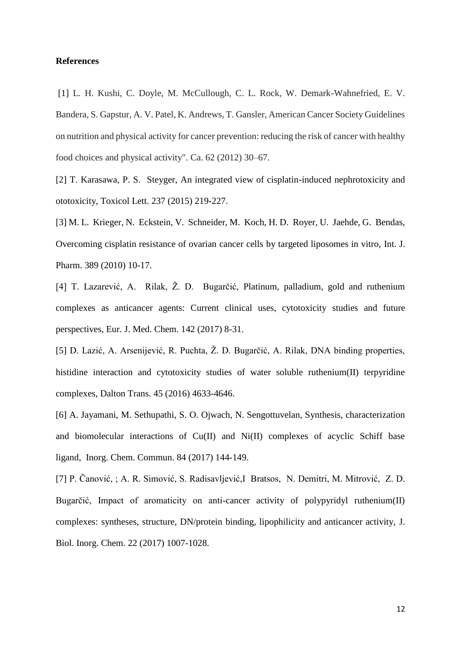#### **References**

[1] L. H. Kushi, C. Doyle, M. McCullough, C. L. Rock, W. Demark-Wahnefried, E. V. Bandera, S. Gapstur, A. V. Patel, K. Andrews, T. Gansler, American Cancer Society Guidelines on nutrition and physical activity for cancer prevention: reducing the risk of cancer with healthy food choices and physical activity". Ca. 62 (2012) 30–67.

[2] T. Karasawa, P. S. Steyger, An integrated view of cisplatin-induced nephrotoxicity and ototoxicity, Toxicol Lett. 237 (2015) 219-227.

[3] M. L. Krieger, N. Eckstein, V. Schneider, M. Koch, H. D. Royer, U. Jaehde, G. Bendas, Overcoming cisplatin resistance of ovarian cancer cells by targeted liposomes in vitro, Int. J. Pharm. 389 (2010) 10-17.

[4] T. Lazarević, A. Rilak, Ž. D. Bugarčić, Platinum, palladium, gold and ruthenium complexes as anticancer agents: Current clinical uses, cytotoxicity studies and future perspectives, Eur. J. Med. Chem. 142 (2017) 8-31.

[5] D. Lazić, A. Arsenijević, R. Puchta, Ž. D. Bugarčić, A. Rilak, DNA binding properties, histidine interaction and cytotoxicity studies of water soluble ruthenium(II) terpyridine complexes, Dalton Trans. 45 (2016) 4633-4646.

[6] A. Jayamani, M. Sethupathi, S. O. Ojwach, N. Sengottuvelan, Synthesis, characterization and biomolecular interactions of Cu(II) and Ni(II) complexes of acyclic Schiff base ligand, Inorg. Chem. Commun. 84 (2017) 144-149.

[7] P. Čanović, ; A. R. Simović, S. Radisavljević,I Bratsos, N. Demitri, M. Mitrović, Z. D. Bugarčić, Impact of aromaticity on anti-cancer activity of polypyridyl ruthenium(II) complexes: syntheses, structure, DN/protein binding, lipophilicity and anticancer activity, J. Biol. Inorg. Chem. 22 (2017) 1007-1028.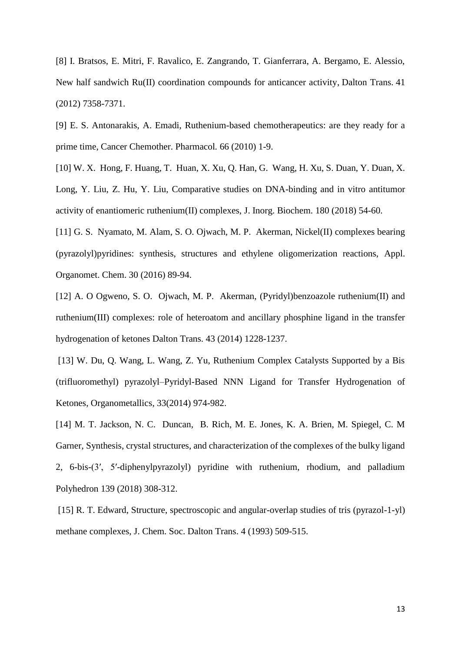[8] I. Bratsos, E. Mitri, F. Ravalico, E. Zangrando, T. Gianferrara, A. Bergamo, E. Alessio, New half sandwich Ru(II) coordination compounds for anticancer activity, Dalton Trans. 41 (2012) 7358-7371.

[9] E. S. Antonarakis, A. Emadi, Ruthenium-based chemotherapeutics: are they ready for a prime time, Cancer Chemother. Pharmacol*.* 66 (2010) 1-9.

[10] W. X. Hong, F. Huang, T. Huan, X. Xu, Q. Han, G. Wang, H. Xu, S. Duan, Y. Duan, X. Long, Y. Liu, Z. Hu, Y. Liu, Comparative studies on DNA-binding and in vitro antitumor activity of enantiomeric ruthenium(II) complexes, J. Inorg. Biochem. 180 (2018) 54-60.

[11] G. S. Nyamato, M. Alam, S. O. Ojwach, M. P. Akerman, Nickel(II) complexes bearing (pyrazolyl)pyridines: synthesis, structures and ethylene oligomerization reactions, Appl. Organomet. Chem. 30 (2016) 89-94.

[12] A. O Ogweno, S. O. Ojwach, M. P. Akerman, (Pyridyl)benzoazole ruthenium(II) and ruthenium(III) complexes: role of heteroatom and ancillary phosphine ligand in the transfer hydrogenation of ketones Dalton Trans. 43 (2014) 1228-1237.

[13] W. Du, Q. Wang, L. Wang, Z. Yu, Ruthenium Complex Catalysts Supported by a Bis (trifluoromethyl) pyrazolyl–Pyridyl-Based NNN Ligand for Transfer Hydrogenation of Ketones, Organometallics, 33(2014) 974-982.

[14] M. T. Jackson, N. C. Duncan, B. Rich, M. E. Jones, K. A. Brien, M. Spiegel, C. M Garner, Synthesis, crystal structures, and characterization of the complexes of the bulky ligand 2, 6-bis-(3′, 5′-diphenylpyrazolyl) pyridine with ruthenium, rhodium, and palladium Polyhedron 139 (2018) 308-312.

[15] R. T. Edward, Structure, spectroscopic and angular-overlap studies of tris (pyrazol-1-yl) methane complexes, J. Chem. Soc. Dalton Trans. 4 (1993) 509-515.